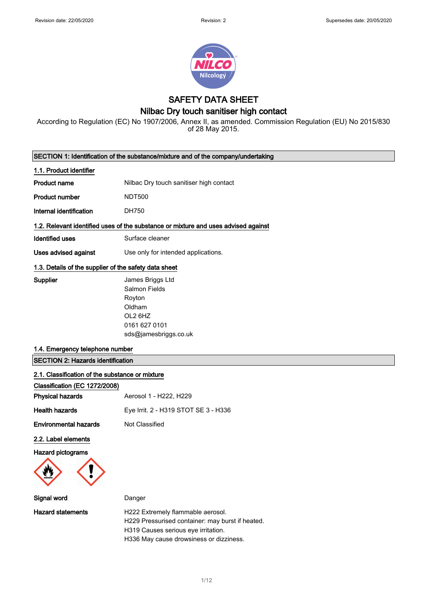

SAFETY DATA SHEET

## Nilbac Dry touch sanitiser high contact

According to Regulation (EC) No 1907/2006, Annex II, as amended. Commission Regulation (EU) No 2015/830 of 28 May 2015.

|                                                       | SECTION 1: Identification of the substance/mixture and of the company/undertaking                          |
|-------------------------------------------------------|------------------------------------------------------------------------------------------------------------|
| 1.1. Product identifier                               |                                                                                                            |
| <b>Product name</b>                                   | Nilbac Dry touch sanitiser high contact                                                                    |
| <b>Product number</b>                                 | <b>NDT500</b>                                                                                              |
| Internal identification                               | <b>DH750</b>                                                                                               |
|                                                       | 1.2. Relevant identified uses of the substance or mixture and uses advised against                         |
| Identified uses                                       | Surface cleaner                                                                                            |
| <b>Uses advised against</b>                           | Use only for intended applications.                                                                        |
| 1.3. Details of the supplier of the safety data sheet |                                                                                                            |
| Supplier                                              | James Briggs Ltd<br>Salmon Fields<br>Royton<br>Oldham<br>OL2 6HZ<br>0161 627 0101<br>sds@jamesbriggs.co.uk |
| 1.4. Emergency telephone number                       |                                                                                                            |
| <b>SECTION 2: Hazards identification</b>              |                                                                                                            |
| 2.1. Classification of the substance or mixture       |                                                                                                            |
| Classification (EC 1272/2008)                         |                                                                                                            |
| <b>Physical hazards</b>                               | Aerosol 1 - H222, H229                                                                                     |
| <b>Health hazards</b>                                 | Eye Irrit. 2 - H319 STOT SE 3 - H336                                                                       |
| <b>Environmental hazards</b>                          | Not Classified                                                                                             |
| 2.2. Label elements                                   |                                                                                                            |
| <b>Hazard pictograms</b>                              |                                                                                                            |
| Signal word                                           | Danger                                                                                                     |
| Hozord etatemente                                     | H222 Extramely flammable gerocol                                                                           |

ard statements **H222 Extremely flammable aerosol**. H229 Pressurised container: may burst if heated. H319 Causes serious eye irritation. H336 May cause drowsiness or dizziness.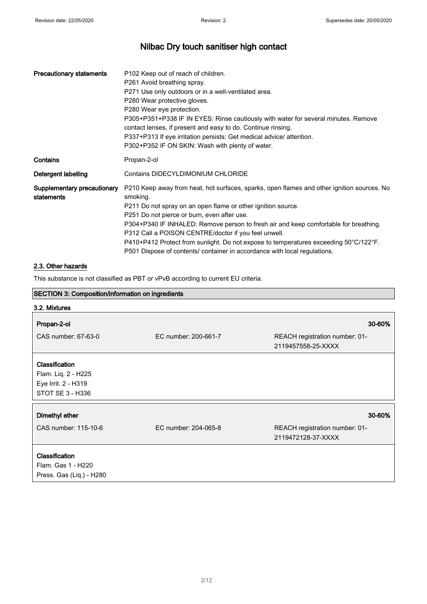| <b>Precautionary statements</b>           | P <sub>102</sub> Keep out of reach of children.<br>P261 Avoid breathing spray.<br>P271 Use only outdoors or in a well-ventilated area.<br>P280 Wear protective gloves.<br>P280 Wear eye protection.<br>P305+P351+P338 IF IN EYES: Rinse cautiously with water for several minutes. Remove<br>contact lenses, if present and easy to do. Continue rinsing.<br>P337+P313 If eye irritation persists: Get medical advice/ attention.<br>P302+P352 IF ON SKIN: Wash with plenty of water.                                                      |
|-------------------------------------------|--------------------------------------------------------------------------------------------------------------------------------------------------------------------------------------------------------------------------------------------------------------------------------------------------------------------------------------------------------------------------------------------------------------------------------------------------------------------------------------------------------------------------------------------|
| Contains                                  | Propan-2-ol                                                                                                                                                                                                                                                                                                                                                                                                                                                                                                                                |
| Detergent labelling                       | <b>Contains DIDECYLDIMONIUM CHLORIDE</b>                                                                                                                                                                                                                                                                                                                                                                                                                                                                                                   |
| Supplementary precautionary<br>statements | P210 Keep away from heat, hot surfaces, sparks, open flames and other ignition sources. No<br>smoking.<br>P211 Do not spray on an open flame or other ignition source.<br>P251 Do not pierce or burn, even after use.<br>P304+P340 IF INHALED: Remove person to fresh air and keep comfortable for breathing.<br>P312 Call a POISON CENTRE/doctor if you feel unwell.<br>P410+P412 Protect from sunlight. Do not expose to temperatures exceeding 50°C/122°F.<br>P501 Dispose of contents/ container in accordance with local regulations. |

## 2.3. Other hazards

This substance is not classified as PBT or vPvB according to current EU criteria.

| <b>SECTION 3: Composition/information on ingredients</b>                         |                      |                                                      |
|----------------------------------------------------------------------------------|----------------------|------------------------------------------------------|
| 3.2. Mixtures                                                                    |                      |                                                      |
| Propan-2-ol                                                                      |                      | 30-60%                                               |
| CAS number: 67-63-0                                                              | EC number: 200-661-7 | REACH registration number: 01-<br>2119457558-25-XXXX |
| Classification<br>Flam. Liq. 2 - H225<br>Eye Irrit. 2 - H319<br>STOT SE 3 - H336 |                      |                                                      |
| Dimethyl ether                                                                   |                      | 30-60%                                               |
| CAS number: 115-10-6                                                             | EC number: 204-065-8 | REACH registration number: 01-<br>2119472128-37-XXXX |
| Classification<br>Flam. Gas 1 - H220<br>Press. Gas (Liq.) - H280                 |                      |                                                      |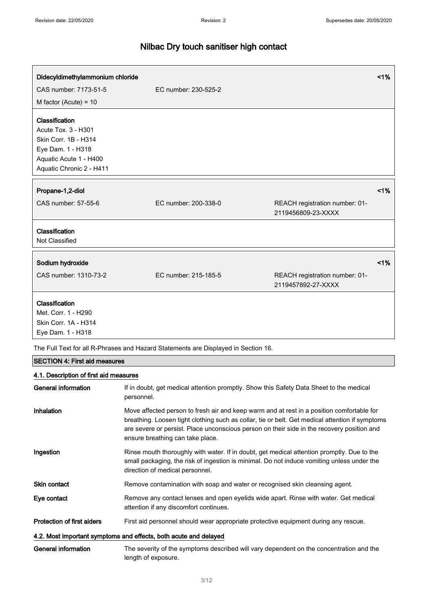| Didecyldimethylammonium chloride |                      |                                                      | 1% |
|----------------------------------|----------------------|------------------------------------------------------|----|
| CAS number: 7173-51-5            | EC number: 230-525-2 |                                                      |    |
| M factor (Acute) = $10$          |                      |                                                      |    |
| Classification                   |                      |                                                      |    |
| Acute Tox. 3 - H301              |                      |                                                      |    |
| Skin Corr. 1B - H314             |                      |                                                      |    |
| Eye Dam. 1 - H318                |                      |                                                      |    |
| Aquatic Acute 1 - H400           |                      |                                                      |    |
| Aquatic Chronic 2 - H411         |                      |                                                      |    |
|                                  |                      |                                                      |    |
| Propane-1,2-diol                 |                      |                                                      | 1% |
| CAS number: 57-55-6              | EC number: 200-338-0 | REACH registration number: 01-<br>2119456809-23-XXXX |    |
| Classification                   |                      |                                                      |    |
| Not Classified                   |                      |                                                      |    |
| Sodium hydroxide                 |                      |                                                      | 1% |
|                                  |                      |                                                      |    |
| CAS number: 1310-73-2            | EC number: 215-185-5 | REACH registration number: 01-<br>2119457892-27-XXXX |    |
| Classification                   |                      |                                                      |    |
| Met. Corr. 1 - H290              |                      |                                                      |    |
| Skin Corr. 1A - H314             |                      |                                                      |    |
| Eye Dam. 1 - H318                |                      |                                                      |    |

The Full Text for all R-Phrases and Hazard Statements are Displayed in Section 16.

## SECTION 4: First aid measures

## 4.1. Description of first aid measures

| General information                                              | If in doubt, get medical attention promptly. Show this Safety Data Sheet to the medical<br>personnel.                                                                                                                                                                                                                          |
|------------------------------------------------------------------|--------------------------------------------------------------------------------------------------------------------------------------------------------------------------------------------------------------------------------------------------------------------------------------------------------------------------------|
| <b>Inhalation</b>                                                | Move affected person to fresh air and keep warm and at rest in a position comfortable for<br>breathing. Loosen tight clothing such as collar, tie or belt. Get medical attention if symptoms<br>are severe or persist. Place unconscious person on their side in the recovery position and<br>ensure breathing can take place. |
| Ingestion                                                        | Rinse mouth thoroughly with water. If in doubt, get medical attention promptly. Due to the<br>small packaging, the risk of ingestion is minimal. Do not induce vomiting unless under the<br>direction of medical personnel.                                                                                                    |
| Skin contact                                                     | Remove contamination with soap and water or recognised skin cleansing agent.                                                                                                                                                                                                                                                   |
| Eye contact                                                      | Remove any contact lenses and open eyelids wide apart. Rinse with water. Get medical<br>attention if any discomfort continues.                                                                                                                                                                                                 |
| Protection of first aiders                                       | First aid personnel should wear appropriate protective equipment during any rescue.                                                                                                                                                                                                                                            |
| 4.2. Most important symptoms and effects, both acute and delayed |                                                                                                                                                                                                                                                                                                                                |
| General information                                              | The severity of the symptoms described will vary dependent on the concentration and the<br>length of exposure.                                                                                                                                                                                                                 |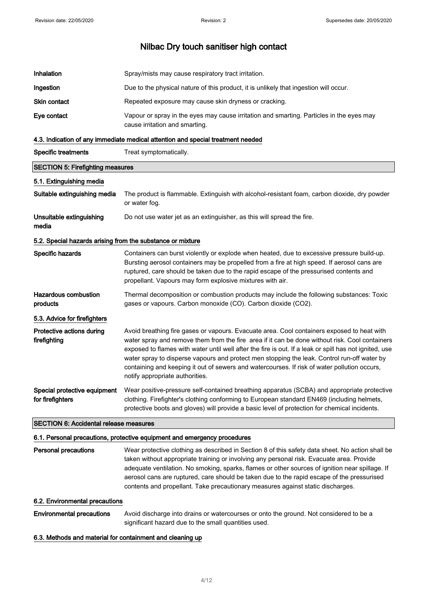| <b>Inhalation</b> | Spray/mists may cause respiratory tract irritation.                                                                        |
|-------------------|----------------------------------------------------------------------------------------------------------------------------|
| Ingestion         | Due to the physical nature of this product, it is unlikely that ingestion will occur.                                      |
| Skin contact      | Repeated exposure may cause skin dryness or cracking.                                                                      |
| Eye contact       | Vapour or spray in the eyes may cause irritation and smarting. Particles in the eyes may<br>cause irritation and smarting. |
|                   |                                                                                                                            |

#### 4.3. Indication of any immediate medical attention and special treatment needed

| <b>Specific treatments</b>              | Treat symptomatically.                                                                                        |
|-----------------------------------------|---------------------------------------------------------------------------------------------------------------|
| <b>SECTION 5: Firefighting measures</b> |                                                                                                               |
| 5.1. Extinguishing media                |                                                                                                               |
| Suitable extinguishing media            | The product is flammable. Extinguish with alcohol-resistant foam, carbon dioxide, dry powder<br>or water fog. |
| Unsuitable extinguishing<br>media       | Do not use water jet as an extinguisher, as this will spread the fire.                                        |

## 5.2. Special hazards arising from the substance or mixture

| Specific hazards                                 | Containers can burst violently or explode when heated, due to excessive pressure build-up.<br>Bursting aerosol containers may be propelled from a fire at high speed. If aerosol cans are<br>ruptured, care should be taken due to the rapid escape of the pressurised contents and<br>propellant. Vapours may form explosive mixtures with air.                                                                                                                                                                                         |
|--------------------------------------------------|------------------------------------------------------------------------------------------------------------------------------------------------------------------------------------------------------------------------------------------------------------------------------------------------------------------------------------------------------------------------------------------------------------------------------------------------------------------------------------------------------------------------------------------|
| Hazardous combustion<br>products                 | Thermal decomposition or combustion products may include the following substances: Toxic<br>gases or vapours. Carbon monoxide (CO). Carbon dioxide (CO2).                                                                                                                                                                                                                                                                                                                                                                                |
| 5.3. Advice for firefighters                     |                                                                                                                                                                                                                                                                                                                                                                                                                                                                                                                                          |
| Protective actions during<br>firefighting        | Avoid breathing fire gases or vapours. Evacuate area. Cool containers exposed to heat with<br>water spray and remove them from the fire area if it can be done without risk. Cool containers<br>exposed to flames with water until well after the fire is out. If a leak or spill has not ignited, use<br>water spray to disperse vapours and protect men stopping the leak. Control run-off water by<br>containing and keeping it out of sewers and watercourses. If risk of water pollution occurs,<br>notify appropriate authorities. |
| Special protective equipment<br>for firefighters | Wear positive-pressure self-contained breathing apparatus (SCBA) and appropriate protective<br>clothing. Firefighter's clothing conforming to European standard EN469 (including helmets,<br>protective boots and gloves) will provide a basic level of protection for chemical incidents.                                                                                                                                                                                                                                               |

## SECTION 6: Accidental release measures

## 6.1. Personal precautions, protective equipment and emergency procedures

Personal precautions Wear protective clothing as described in Section 8 of this safety data sheet. No action shall be taken without appropriate training or involving any personal risk. Evacuate area. Provide adequate ventilation. No smoking, sparks, flames or other sources of ignition near spillage. If aerosol cans are ruptured, care should be taken due to the rapid escape of the pressurised contents and propellant. Take precautionary measures against static discharges.

#### 6.2. Environmental precautions

Environmental precautions Avoid discharge into drains or watercourses or onto the ground. Not considered to be a significant hazard due to the small quantities used.

## 6.3. Methods and material for containment and cleaning up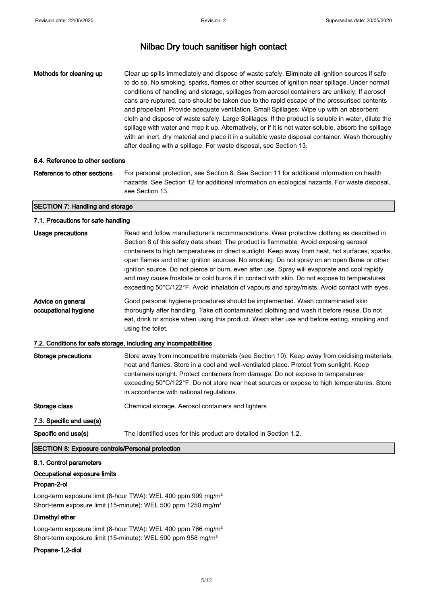Methods for cleaning up Clear up spills immediately and dispose of waste safely. Eliminate all ignition sources if safe to do so. No smoking, sparks, flames or other sources of ignition near spillage. Under normal conditions of handling and storage, spillages from aerosol containers are unlikely. If aerosol cans are ruptured, care should be taken due to the rapid escape of the pressurised contents and propellant. Provide adequate ventilation. Small Spillages: Wipe up with an absorbent cloth and dispose of waste safely. Large Spillages: If the product is soluble in water, dilute the spillage with water and mop it up. Alternatively, or if it is not water-soluble, absorb the spillage with an inert, dry material and place it in a suitable waste disposal container. Wash thoroughly after dealing with a spillage. For waste disposal, see Section 13.

#### 6.4. Reference to other sections

Reference to other sections For personal protection, see Section 8. See Section 11 for additional information on health hazards. See Section 12 for additional information on ecological hazards. For waste disposal, see Section 13.

## SECTION 7: Handling and storage

| 7.1. Precautions for safe handling                      |                                                                                                                                                                                                                                                                                                                                                                                                                                                                                                                                                                                                                                                                                   |
|---------------------------------------------------------|-----------------------------------------------------------------------------------------------------------------------------------------------------------------------------------------------------------------------------------------------------------------------------------------------------------------------------------------------------------------------------------------------------------------------------------------------------------------------------------------------------------------------------------------------------------------------------------------------------------------------------------------------------------------------------------|
| <b>Usage precautions</b>                                | Read and follow manufacturer's recommendations. Wear protective clothing as described in<br>Section 8 of this safety data sheet. The product is flammable. Avoid exposing aerosol<br>containers to high temperatures or direct sunlight. Keep away from heat, hot surfaces, sparks,<br>open flames and other ignition sources. No smoking. Do not spray on an open flame or other<br>ignition source. Do not pierce or burn, even after use. Spray will evaporate and cool rapidly<br>and may cause frostbite or cold burns if in contact with skin. Do not expose to temperatures<br>exceeding 50°C/122°F. Avoid inhalation of vapours and spray/mists. Avoid contact with eyes. |
| Advice on general<br>occupational hygiene               | Good personal hygiene procedures should be implemented. Wash contaminated skin<br>thoroughly after handling. Take off contaminated clothing and wash it before reuse. Do not<br>eat, drink or smoke when using this product. Wash after use and before eating, smoking and<br>using the toilet.                                                                                                                                                                                                                                                                                                                                                                                   |
|                                                         | 7.2. Conditions for safe storage, including any incompatibilities                                                                                                                                                                                                                                                                                                                                                                                                                                                                                                                                                                                                                 |
| Storage precautions                                     | Store away from incompatible materials (see Section 10). Keep away from oxidising materials,<br>heat and flames. Store in a cool and well-ventilated place. Protect from sunlight. Keep<br>containers upright. Protect containers from damage. Do not expose to temperatures<br>exceeding 50°C/122°F. Do not store near heat sources or expose to high temperatures. Store<br>in accordance with national regulations.                                                                                                                                                                                                                                                            |
| Storage class                                           | Chemical storage. Aerosol containers and lighters                                                                                                                                                                                                                                                                                                                                                                                                                                                                                                                                                                                                                                 |
| 7.3. Specific end use(s)                                |                                                                                                                                                                                                                                                                                                                                                                                                                                                                                                                                                                                                                                                                                   |
| Specific end use(s)                                     | The identified uses for this product are detailed in Section 1.2.                                                                                                                                                                                                                                                                                                                                                                                                                                                                                                                                                                                                                 |
| <b>SECTION 8: Exposure controls/Personal protection</b> |                                                                                                                                                                                                                                                                                                                                                                                                                                                                                                                                                                                                                                                                                   |

## 8.1. Control parameters

## Occupational exposure limits

#### Propan-2-ol

Long-term exposure limit (8-hour TWA): WEL 400 ppm 999 mg/m<sup>3</sup> Short-term exposure limit (15-minute): WEL 500 ppm 1250 mg/m<sup>3</sup>

#### Dimethyl ether

Long-term exposure limit (8-hour TWA): WEL 400 ppm 766 mg/m<sup>3</sup> Short-term exposure limit (15-minute): WEL 500 ppm 958 mg/m<sup>3</sup>

#### Propane-1,2-diol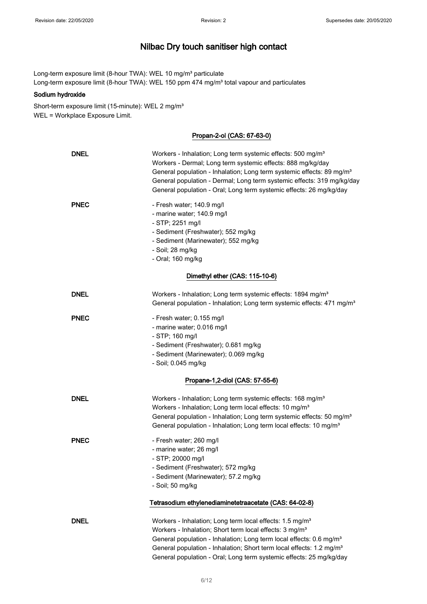Long-term exposure limit (8-hour TWA): WEL 10 mg/m<sup>3</sup> particulate Long-term exposure limit (8-hour TWA): WEL 150 ppm 474 mg/m<sup>3</sup> total vapour and particulates

## Sodium hydroxide

Short-term exposure limit (15-minute): WEL 2 mg/m<sup>3</sup> WEL = Workplace Exposure Limit.

## Propan-2-ol (CAS: 67-63-0)

| <b>DNEL</b> | Workers - Inhalation; Long term systemic effects: 500 mg/m <sup>3</sup><br>Workers - Dermal; Long term systemic effects: 888 mg/kg/day<br>General population - Inhalation; Long term systemic effects: 89 mg/m <sup>3</sup><br>General population - Dermal; Long term systemic effects: 319 mg/kg/day<br>General population - Oral; Long term systemic effects: 26 mg/kg/day              |
|-------------|-------------------------------------------------------------------------------------------------------------------------------------------------------------------------------------------------------------------------------------------------------------------------------------------------------------------------------------------------------------------------------------------|
| <b>PNEC</b> | - Fresh water; 140.9 mg/l<br>- marine water; 140.9 mg/l<br>- STP; 2251 mg/l<br>- Sediment (Freshwater); 552 mg/kg<br>- Sediment (Marinewater); 552 mg/kg<br>- Soil; 28 mg/kg<br>- Oral; 160 mg/kg                                                                                                                                                                                         |
|             | Dimethyl ether (CAS: 115-10-6)                                                                                                                                                                                                                                                                                                                                                            |
| <b>DNEL</b> | Workers - Inhalation; Long term systemic effects: 1894 mg/m <sup>3</sup><br>General population - Inhalation; Long term systemic effects: 471 mg/m <sup>3</sup>                                                                                                                                                                                                                            |
| <b>PNEC</b> | - Fresh water; 0.155 mg/l<br>- marine water; 0.016 mg/l<br>- STP; 160 mg/l<br>- Sediment (Freshwater); 0.681 mg/kg<br>- Sediment (Marinewater); 0.069 mg/kg<br>- Soil; 0.045 mg/kg                                                                                                                                                                                                        |
|             | Propane-1,2-diol (CAS: 57-55-6)                                                                                                                                                                                                                                                                                                                                                           |
| DNEL        | Workers - Inhalation; Long term systemic effects: 168 mg/m <sup>3</sup><br>Workers - Inhalation; Long term local effects: 10 mg/m <sup>3</sup><br>General population - Inhalation; Long term systemic effects: 50 mg/m <sup>3</sup><br>General population - Inhalation; Long term local effects: 10 mg/m <sup>3</sup>                                                                     |
| <b>PNEC</b> | - Fresh water; 260 mg/l<br>- marine water; 26 mg/l<br>- STP; 20000 mg/l<br>- Sediment (Freshwater); 572 mg/kg<br>- Sediment (Marinewater); 57.2 mg/kg<br>- Soil; 50 mg/kg                                                                                                                                                                                                                 |
|             | Tetrasodium ethylenediaminetetraacetate (CAS: 64-02-8)                                                                                                                                                                                                                                                                                                                                    |
| <b>DNEL</b> | Workers - Inhalation; Long term local effects: 1.5 mg/m <sup>3</sup><br>Workers - Inhalation; Short term local effects: 3 mg/m <sup>3</sup><br>General population - Inhalation; Long term local effects: 0.6 mg/m <sup>3</sup><br>General population - Inhalation; Short term local effects: 1.2 mg/m <sup>3</sup><br>General population - Oral; Long term systemic effects: 25 mg/kg/day |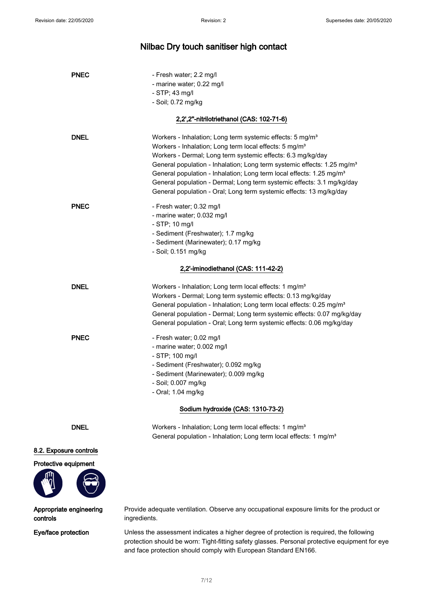| <b>PNEC</b> | - Fresh water; 2.2 mg/l                                                                                                                       |
|-------------|-----------------------------------------------------------------------------------------------------------------------------------------------|
|             | - marine water; 0.22 mg/l                                                                                                                     |
|             | $-$ STP; 43 mg/l                                                                                                                              |
|             | - Soil; 0.72 mg/kg                                                                                                                            |
|             | 2,2',2"-nitrilotriethanol (CAS: 102-71-6)                                                                                                     |
| <b>DNEL</b> | Workers - Inhalation; Long term systemic effects: 5 mg/m <sup>3</sup>                                                                         |
|             | Workers - Inhalation; Long term local effects: 5 mg/m <sup>3</sup>                                                                            |
|             | Workers - Dermal; Long term systemic effects: 6.3 mg/kg/day                                                                                   |
|             | General population - Inhalation; Long term systemic effects: 1.25 mg/m <sup>3</sup>                                                           |
|             | General population - Inhalation; Long term local effects: 1.25 mg/m <sup>3</sup>                                                              |
|             | General population - Dermal; Long term systemic effects: 3.1 mg/kg/day<br>General population - Oral; Long term systemic effects: 13 mg/kg/day |
|             |                                                                                                                                               |
| <b>PNEC</b> | - Fresh water; 0.32 mg/l                                                                                                                      |
|             | - marine water; 0.032 mg/l                                                                                                                    |
|             | - STP; 10 mg/l<br>- Sediment (Freshwater); 1.7 mg/kg                                                                                          |
|             | - Sediment (Marinewater); 0.17 mg/kg                                                                                                          |
|             | - Soil; 0.151 mg/kg                                                                                                                           |
|             | 2,2'-iminodiethanol (CAS: 111-42-2)                                                                                                           |
| <b>DNEL</b> | Workers - Inhalation; Long term local effects: 1 mg/m <sup>3</sup>                                                                            |
|             | Workers - Dermal; Long term systemic effects: 0.13 mg/kg/day                                                                                  |
|             | General population - Inhalation; Long term local effects: 0.25 mg/m <sup>3</sup>                                                              |
|             | General population - Dermal; Long term systemic effects: 0.07 mg/kg/day                                                                       |
|             | General population - Oral; Long term systemic effects: 0.06 mg/kg/day                                                                         |
| <b>PNEC</b> | - Fresh water; 0.02 mg/l                                                                                                                      |
|             | - marine water; 0.002 mg/l                                                                                                                    |
|             | - STP; 100 mg/l                                                                                                                               |
|             | - Sediment (Freshwater); 0.092 mg/kg                                                                                                          |
|             | - Sediment (Marinewater); 0.009 mg/kg                                                                                                         |
|             | - Soil; 0.007 mg/kg<br>- Oral; 1.04 mg/kg                                                                                                     |
|             |                                                                                                                                               |
|             | Sodium hydroxide (CAS: 1310-73-2)                                                                                                             |

DNEL Workers - Inhalation; Long term local effects: 1 mg/m<sup>3</sup> General population - Inhalation; Long term local effects: 1 mg/m<sup>3</sup>

## 8.2. Exposure controls

## Protective equipment



Appropriate engineering controls

Provide adequate ventilation. Observe any occupational exposure limits for the product or ingredients.

Eye/face protection Unless the assessment indicates a higher degree of protection is required, the following protection should be worn: Tight-fitting safety glasses. Personal protective equipment for eye and face protection should comply with European Standard EN166.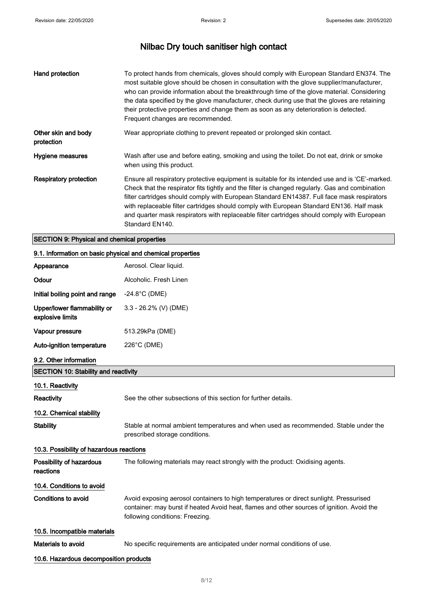| Hand protection                   | To protect hands from chemicals, gloves should comply with European Standard EN374. The<br>most suitable glove should be chosen in consultation with the glove supplier/manufacturer,<br>who can provide information about the breakthrough time of the glove material. Considering<br>the data specified by the glove manufacturer, check during use that the gloves are retaining<br>their protective properties and change them as soon as any deterioration is detected.<br>Frequent changes are recommended. |
|-----------------------------------|-------------------------------------------------------------------------------------------------------------------------------------------------------------------------------------------------------------------------------------------------------------------------------------------------------------------------------------------------------------------------------------------------------------------------------------------------------------------------------------------------------------------|
| Other skin and body<br>protection | Wear appropriate clothing to prevent repeated or prolonged skin contact.                                                                                                                                                                                                                                                                                                                                                                                                                                          |
| Hygiene measures                  | Wash after use and before eating, smoking and using the toilet. Do not eat, drink or smoke<br>when using this product.                                                                                                                                                                                                                                                                                                                                                                                            |
| Respiratory protection            | Ensure all respiratory protective equipment is suitable for its intended use and is 'CE'-marked.<br>Check that the respirator fits tightly and the filter is changed regularly. Gas and combination<br>filter cartridges should comply with European Standard EN14387. Full face mask respirators<br>with replaceable filter cartridges should comply with European Standard EN136. Half mask<br>and quarter mask respirators with replaceable filter cartridges should comply with European<br>Standard EN140.   |

## SECTION 9: Physical and chemical properties

| 9.1. Information on basic physical and chemical properties |                                                                                                                                                                                                                         |  |
|------------------------------------------------------------|-------------------------------------------------------------------------------------------------------------------------------------------------------------------------------------------------------------------------|--|
| Appearance                                                 | Aerosol. Clear liquid.                                                                                                                                                                                                  |  |
| Odour                                                      | Alcoholic. Fresh Linen                                                                                                                                                                                                  |  |
| Initial boiling point and range                            | $-24.8^{\circ}$ C (DME)                                                                                                                                                                                                 |  |
| Upper/lower flammability or<br>explosive limits            | $3.3 - 26.2\%$ (V) (DME)                                                                                                                                                                                                |  |
| Vapour pressure                                            | 513.29kPa (DME)                                                                                                                                                                                                         |  |
| <b>Auto-ignition temperature</b>                           | 226°C (DME)                                                                                                                                                                                                             |  |
| 9.2. Other information                                     |                                                                                                                                                                                                                         |  |
| <b>SECTION 10: Stability and reactivity</b>                |                                                                                                                                                                                                                         |  |
| 10.1. Reactivity                                           |                                                                                                                                                                                                                         |  |
| Reactivity                                                 | See the other subsections of this section for further details.                                                                                                                                                          |  |
| 10.2. Chemical stability                                   |                                                                                                                                                                                                                         |  |
| <b>Stability</b>                                           | Stable at normal ambient temperatures and when used as recommended. Stable under the<br>prescribed storage conditions.                                                                                                  |  |
| 10.3. Possibility of hazardous reactions                   |                                                                                                                                                                                                                         |  |
| Possibility of hazardous<br>reactions                      | The following materials may react strongly with the product: Oxidising agents.                                                                                                                                          |  |
| 10.4. Conditions to avoid                                  |                                                                                                                                                                                                                         |  |
| Conditions to avoid                                        | Avoid exposing aerosol containers to high temperatures or direct sunlight. Pressurised<br>container: may burst if heated Avoid heat, flames and other sources of ignition. Avoid the<br>following conditions: Freezing. |  |
| 10.5. Incompatible materials                               |                                                                                                                                                                                                                         |  |
| Materials to avoid                                         | No specific requirements are anticipated under normal conditions of use.                                                                                                                                                |  |
| 10.6. Hazardous decomposition products                     |                                                                                                                                                                                                                         |  |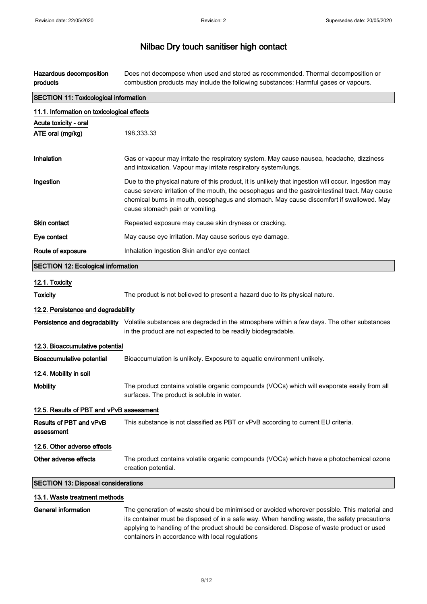Hazardous decomposition products Does not decompose when used and stored as recommended. Thermal decomposition or combustion products may include the following substances: Harmful gases or vapours.

| <b>SECTION 11: Toxicological information</b> |                                                                                                                                                                                                                                                                                                                                     |  |
|----------------------------------------------|-------------------------------------------------------------------------------------------------------------------------------------------------------------------------------------------------------------------------------------------------------------------------------------------------------------------------------------|--|
| 11.1. Information on toxicological effects   |                                                                                                                                                                                                                                                                                                                                     |  |
| Acute toxicity - oral                        |                                                                                                                                                                                                                                                                                                                                     |  |
| ATE oral (mg/kg)                             | 198,333.33                                                                                                                                                                                                                                                                                                                          |  |
|                                              |                                                                                                                                                                                                                                                                                                                                     |  |
| Inhalation                                   | Gas or vapour may irritate the respiratory system. May cause nausea, headache, dizziness<br>and intoxication. Vapour may irritate respiratory system/lungs.                                                                                                                                                                         |  |
| Ingestion                                    | Due to the physical nature of this product, it is unlikely that ingestion will occur. Ingestion may<br>cause severe irritation of the mouth, the oesophagus and the gastrointestinal tract. May cause<br>chemical burns in mouth, oesophagus and stomach. May cause discomfort if swallowed. May<br>cause stomach pain or vomiting. |  |
| <b>Skin contact</b>                          | Repeated exposure may cause skin dryness or cracking.                                                                                                                                                                                                                                                                               |  |
| Eye contact                                  | May cause eye irritation. May cause serious eye damage.                                                                                                                                                                                                                                                                             |  |
| Route of exposure                            | Inhalation Ingestion Skin and/or eye contact                                                                                                                                                                                                                                                                                        |  |
| <b>SECTION 12: Ecological information</b>    |                                                                                                                                                                                                                                                                                                                                     |  |
| 12.1. Toxicity                               |                                                                                                                                                                                                                                                                                                                                     |  |
| <b>Toxicity</b>                              | The product is not believed to present a hazard due to its physical nature.                                                                                                                                                                                                                                                         |  |
| 12.2. Persistence and degradability          |                                                                                                                                                                                                                                                                                                                                     |  |
|                                              | Persistence and degradability Volatile substances are degraded in the atmosphere within a few days. The other substances<br>in the product are not expected to be readily biodegradable.                                                                                                                                            |  |
| 12.3. Bioaccumulative potential              |                                                                                                                                                                                                                                                                                                                                     |  |
| <b>Bioaccumulative potential</b>             | Bioaccumulation is unlikely. Exposure to aquatic environment unlikely.                                                                                                                                                                                                                                                              |  |
| 12.4. Mobility in soil                       |                                                                                                                                                                                                                                                                                                                                     |  |
| <b>Mobility</b>                              | The product contains volatile organic compounds (VOCs) which will evaporate easily from all<br>surfaces. The product is soluble in water.                                                                                                                                                                                           |  |
| 12.5. Results of PBT and vPvB assessment     |                                                                                                                                                                                                                                                                                                                                     |  |
| Results of PBT and vPvB<br>assessment        | This substance is not classified as PBT or vPvB according to current EU criteria.                                                                                                                                                                                                                                                   |  |
| 12.6. Other adverse effects                  |                                                                                                                                                                                                                                                                                                                                     |  |
| Other adverse effects                        | The product contains volatile organic compounds (VOCs) which have a photochemical ozone<br>creation potential.                                                                                                                                                                                                                      |  |
| <b>SECTION 13: Disposal considerations</b>   |                                                                                                                                                                                                                                                                                                                                     |  |
| 13.1. Waste treatment methods                |                                                                                                                                                                                                                                                                                                                                     |  |
| <b>General information</b>                   | The generation of waste should be minimised or avoided wherever possible. This material and<br>its container must be disposed of in a safe way. When handling waste, the safety precautions                                                                                                                                         |  |

containers in accordance with local regulations

applying to handling of the product should be considered. Dispose of waste product or used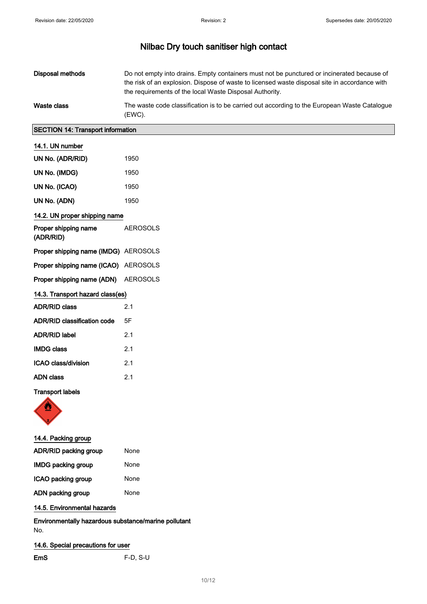| Disposal methods | Do not empty into drains. Empty containers must not be punctured or incinerated because of<br>the risk of an explosion. Dispose of waste to licensed waste disposal site in accordance with<br>the requirements of the local Waste Disposal Authority. |
|------------------|--------------------------------------------------------------------------------------------------------------------------------------------------------------------------------------------------------------------------------------------------------|
| Waste class      | The waste code classification is to be carried out according to the European Waste Catalogue<br>(EWC).                                                                                                                                                 |

## SECTION 14: Transport information

| 14.1. UN number                      |                 |
|--------------------------------------|-----------------|
| UN No. (ADR/RID)                     | 1950            |
| UN No. (IMDG)                        | 1950            |
| UN No. (ICAO)                        | 1950            |
| UN No. (ADN)                         | 1950            |
| 14.2. UN proper shipping name        |                 |
| Proper shipping name<br>(ADR/RID)    | <b>AEROSOLS</b> |
| Proper shipping name (IMDG) AEROSOLS |                 |
| Proper shipping name (ICAO) AEROSOLS |                 |
| Proper shipping name (ADN) AEROSOLS  |                 |
| 14.3. Transport hazard class(es)     |                 |
| <b>ADR/RID class</b>                 | 2.1             |
| <b>ADR/RID classification code</b>   | 5F              |
| <b>ADR/RID label</b>                 | 2.1             |
| <b>IMDG class</b>                    | 2.1             |
| ICAO class/division                  | 2.1             |
| <b>ADN class</b>                     | 2.1             |
| <b>Transport labels</b>              |                 |

| 14.4. Packing group       |      |
|---------------------------|------|
| ADR/RID packing group     | None |
| <b>IMDG packing group</b> | None |
| ICAO packing group        | None |
| ADN packing group         | None |
|                           |      |

## 14.5. Environmental hazards

Environmentally hazardous substance/marine pollutant No.

 $F-D, S-U$ 

## 14.6. Special precautions for user

| EmS |  |  |
|-----|--|--|
|     |  |  |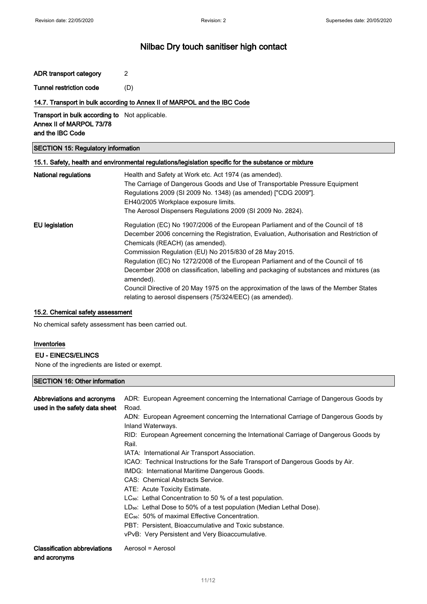ADR transport category 2 Tunnel restriction code (D)

## 14.7. Transport in bulk according to Annex II of MARPOL and the IBC Code

Transport in bulk according to Not applicable. Annex II of MARPOL 73/78 and the IBC Code

## SECTION 15: Regulatory information

## 15.1. Safety, health and environmental regulations/legislation specific for the substance or mixture

| <b>National regulations</b> | Health and Safety at Work etc. Act 1974 (as amended).<br>The Carriage of Dangerous Goods and Use of Transportable Pressure Equipment<br>Regulations 2009 (SI 2009 No. 1348) (as amended) ["CDG 2009"].<br>EH40/2005 Workplace exposure limits.<br>The Aerosol Dispensers Regulations 2009 (SI 2009 No. 2824).                                                                                                                                           |
|-----------------------------|---------------------------------------------------------------------------------------------------------------------------------------------------------------------------------------------------------------------------------------------------------------------------------------------------------------------------------------------------------------------------------------------------------------------------------------------------------|
| <b>EU</b> legislation       | Regulation (EC) No 1907/2006 of the European Parliament and of the Council of 18<br>December 2006 concerning the Registration, Evaluation, Authorisation and Restriction of<br>Chemicals (REACH) (as amended).<br>Commission Regulation (EU) No 2015/830 of 28 May 2015.<br>Regulation (EC) No 1272/2008 of the European Parliament and of the Council of 16<br>December 2008 on classification, labelling and packaging of substances and mixtures (as |
|                             | amended).<br>Council Directive of 20 May 1975 on the approximation of the laws of the Member States<br>relating to aerosol dispensers (75/324/EEC) (as amended).                                                                                                                                                                                                                                                                                        |

#### 15.2. Chemical safety assessment

No chemical safety assessment has been carried out.

## Inventories

### EU - EINECS/ELINCS

None of the ingredients are listed or exempt.

## SECTION 16: Other information

| ADR: European Agreement concerning the International Carriage of Dangerous Goods by<br>Road.<br>ADN: European Agreement concerning the International Carriage of Dangerous Goods by<br>Inland Waterways.<br>RID: European Agreement concerning the International Carriage of Dangerous Goods by<br>Rail.<br>IATA: International Air Transport Association.<br>ICAO: Technical Instructions for the Safe Transport of Dangerous Goods by Air.<br>IMDG: International Maritime Dangerous Goods.<br>CAS: Chemical Abstracts Service.<br>ATE: Acute Toxicity Estimate.<br>LC <sub>50</sub> : Lethal Concentration to 50 % of a test population.<br>$LD_{50}$ : Lethal Dose to 50% of a test population (Median Lethal Dose).<br>EC <sub>50</sub> : 50% of maximal Effective Concentration.<br>PBT: Persistent. Bioaccumulative and Toxic substance. |
|-------------------------------------------------------------------------------------------------------------------------------------------------------------------------------------------------------------------------------------------------------------------------------------------------------------------------------------------------------------------------------------------------------------------------------------------------------------------------------------------------------------------------------------------------------------------------------------------------------------------------------------------------------------------------------------------------------------------------------------------------------------------------------------------------------------------------------------------------|
| vPvB: Very Persistent and Very Bioaccumulative.<br>Aerosol = Aerosol                                                                                                                                                                                                                                                                                                                                                                                                                                                                                                                                                                                                                                                                                                                                                                            |
|                                                                                                                                                                                                                                                                                                                                                                                                                                                                                                                                                                                                                                                                                                                                                                                                                                                 |